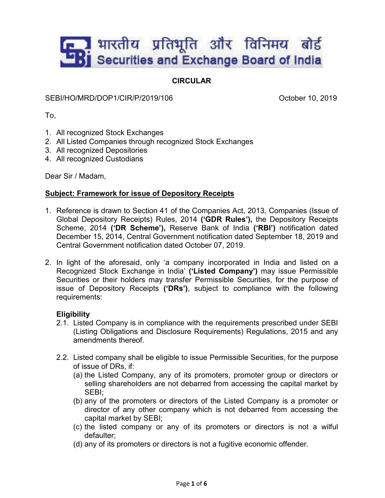# <u>. )</u> भारतीय प्रतिभूति और विनिमय बोर्ड Securities and Exchange Board of India

## **CIRCULAR**

## SEBI/HO/MRD/DOP1/CIR/P/2019/106 CEBI/HO/MRD/DOP1/CIR/P/2019/106

To,

- 1. All recognized Stock Exchanges
- 2. All Listed Companies through recognized Stock Exchanges
- 3. All recognized Depositories
- 4. All recognized Custodians

Dear Sir / Madam,

## **Subject: Framework for issue of Depository Receipts**

- 1. Reference is drawn to Section 41 of the Companies Act, 2013, Companies (Issue of Global Depository Receipts) Rules, 2014 **('GDR Rules'),** the Depository Receipts Scheme, 2014 **('DR Scheme'),** Reserve Bank of India **('RBI')** notification dated December 15, 2014, Central Government notification dated September 18, 2019 and Central Government notification dated October 07, 2019.
- 2. In light of the aforesaid, only 'a company incorporated in India and listed on a Recognized Stock Exchange in India' **('Listed Company')** may issue Permissible Securities or their holders may transfer Permissible Securities, for the purpose of issue of Depository Receipts **('DRs')**, subject to compliance with the following requirements:

## **Eligibility**

- 2.1. Listed Company is in compliance with the requirements prescribed under SEBI (Listing Obligations and Disclosure Requirements) Regulations, 2015 and any amendments thereof.
- 2.2. Listed company shall be eligible to issue Permissible Securities, for the purpose of issue of DRs, if:
	- (a) the Listed Company, any of its promoters, promoter group or directors or selling shareholders are not debarred from accessing the capital market by SEBI;
	- (b) any of the promoters or directors of the Listed Company is a promoter or director of any other company which is not debarred from accessing the capital market by SEBI;
	- (c) the listed company or any of its promoters or directors is not a wilful defaulter;
	- (d) any of its promoters or directors is not a fugitive economic offender.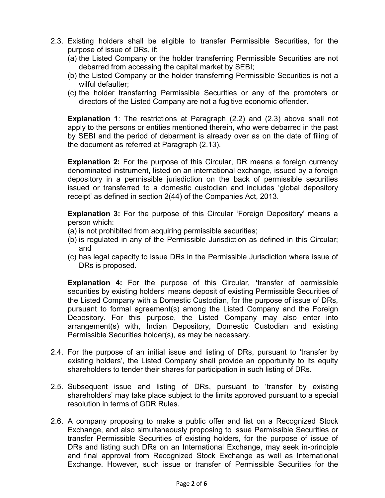- 2.3. Existing holders shall be eligible to transfer Permissible Securities, for the purpose of issue of DRs, if:
	- (a) the Listed Company or the holder transferring Permissible Securities are not debarred from accessing the capital market by SEBI;
	- (b) the Listed Company or the holder transferring Permissible Securities is not a wilful defaulter;
	- (c) the holder transferring Permissible Securities or any of the promoters or directors of the Listed Company are not a fugitive economic offender.

**Explanation 1**: The restrictions at Paragraph (2.2) and (2.3) above shall not apply to the persons or entities mentioned therein, who were debarred in the past by SEBI and the period of debarment is already over as on the date of filing of the document as referred at Paragraph (2.13).

**Explanation 2:** For the purpose of this Circular, DR means a foreign currency denominated instrument, listed on an international exchange, issued by a foreign depository in a permissible jurisdiction on the back of permissible securities issued or transferred to a domestic custodian and includes 'global depository receipt' as defined in section 2(44) of the Companies Act, 2013.

**Explanation 3:** For the purpose of this Circular 'Foreign Depository' means a person which:

- (a) is not prohibited from acquiring permissible securities;
- (b) is regulated in any of the Permissible Jurisdiction as defined in this Circular; and
- (c) has legal capacity to issue DRs in the Permissible Jurisdiction where issue of DRs is proposed.

**Explanation 4:** For the purpose of this Circular, **'**transfer of permissible securities by existing holders' means deposit of existing Permissible Securities of the Listed Company with a Domestic Custodian, for the purpose of issue of DRs, pursuant to formal agreement(s) among the Listed Company and the Foreign Depository. For this purpose, the Listed Company may also enter into arrangement(s) with, Indian Depository, Domestic Custodian and existing Permissible Securities holder(s), as may be necessary.

- 2.4. For the purpose of an initial issue and listing of DRs, pursuant to 'transfer by existing holders', the Listed Company shall provide an opportunity to its equity shareholders to tender their shares for participation in such listing of DRs.
- 2.5. Subsequent issue and listing of DRs, pursuant to 'transfer by existing shareholders' may take place subject to the limits approved pursuant to a special resolution in terms of GDR Rules.
- 2.6. A company proposing to make a public offer and list on a Recognized Stock Exchange, and also simultaneously proposing to issue Permissible Securities or transfer Permissible Securities of existing holders, for the purpose of issue of DRs and listing such DRs on an International Exchange, may seek in-principle and final approval from Recognized Stock Exchange as well as International Exchange. However, such issue or transfer of Permissible Securities for the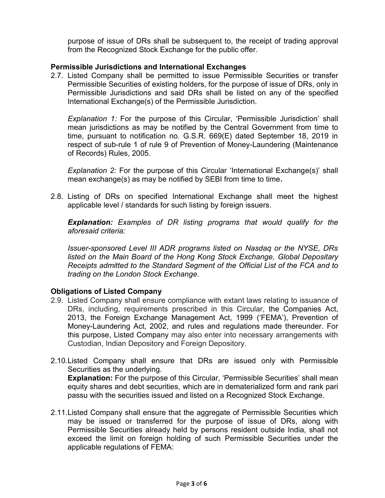purpose of issue of DRs shall be subsequent to, the receipt of trading approval from the Recognized Stock Exchange for the public offer.

### **Permissible Jurisdictions and International Exchanges**

2.7. Listed Company shall be permitted to issue Permissible Securities or transfer Permissible Securities of existing holders, for the purpose of issue of DRs, only in Permissible Jurisdictions and said DRs shall be listed on any of the specified International Exchange(s) of the Permissible Jurisdiction.

*Explanation 1:* For the purpose of this Circular, 'Permissible Jurisdiction' shall mean jurisdictions as may be notified by the Central Government from time to time, pursuant to notification no. G.S.R. 669(E) dated September 18, 2019 in respect of sub-rule 1 of rule 9 of Prevention of Money-Laundering (Maintenance of Records) Rules, 2005.

*Explanation 2:* For the purpose of this Circular 'International Exchange(s)' shall mean exchange(s) as may be notified by SEBI from time to time**.**

2.8. Listing of DRs on specified International Exchange shall meet the highest applicable level / standards for such listing by foreign issuers.

*Explanation: Examples of DR listing programs that would qualify for the aforesaid criteria:*

*Issuer-sponsored Level III ADR programs listed on Nasdaq or the NYSE, DRs listed on the Main Board of the Hong Kong Stock Exchange, Global Depositary Receipts admitted to the Standard Segment of the Official List of the FCA and to trading on the London Stock Exchange.*

#### **Obligations of Listed Company**

- 2.9. Listed Company shall ensure compliance with extant laws relating to issuance of DRs, including, requirements prescribed in this Circular, the Companies Act, 2013, the Foreign Exchange Management Act, 1999 ('FEMA'), Prevention of Money-Laundering Act, 2002, and rules and regulations made thereunder. For this purpose, Listed Company may also enter into necessary arrangements with Custodian, Indian Depository and Foreign Depository.
- 2.10.Listed Company shall ensure that DRs are issued only with Permissible Securities as the underlying. **Explanation:** For the purpose of this Circular, 'Permissible Securities' shall mean equity shares and debt securities, which are in dematerialized form and rank pari passu with the securities issued and listed on a Recognized Stock Exchange.
- 2.11.Listed Company shall ensure that the aggregate of Permissible Securities which may be issued or transferred for the purpose of issue of DRs, along with Permissible Securities already held by persons resident outside India, shall not exceed the limit on foreign holding of such Permissible Securities under the applicable regulations of FEMA: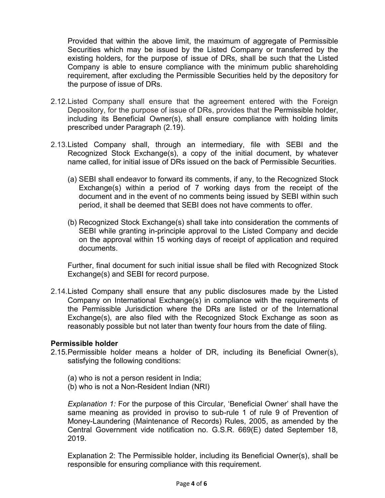Provided that within the above limit, the maximum of aggregate of Permissible Securities which may be issued by the Listed Company or transferred by the existing holders, for the purpose of issue of DRs, shall be such that the Listed Company is able to ensure compliance with the minimum public shareholding requirement, after excluding the Permissible Securities held by the depository for the purpose of issue of DRs.

- 2.12.Listed Company shall ensure that the agreement entered with the Foreign Depository, for the purpose of issue of DRs, provides that the Permissible holder, including its Beneficial Owner(s), shall ensure compliance with holding limits prescribed under Paragraph (2.19).
- 2.13.Listed Company shall, through an intermediary, file with SEBI and the Recognized Stock Exchange(s), a copy of the initial document, by whatever name called, for initial issue of DRs issued on the back of Permissible Securities.
	- (a) SEBI shall endeavor to forward its comments, if any, to the Recognized Stock Exchange(s) within a period of 7 working days from the receipt of the document and in the event of no comments being issued by SEBI within such period, it shall be deemed that SEBI does not have comments to offer.
	- (b) Recognized Stock Exchange(s) shall take into consideration the comments of SEBI while granting in-principle approval to the Listed Company and decide on the approval within 15 working days of receipt of application and required documents.

Further, final document for such initial issue shall be filed with Recognized Stock Exchange(s) and SEBI for record purpose.

2.14.Listed Company shall ensure that any public disclosures made by the Listed Company on International Exchange(s) in compliance with the requirements of the Permissible Jurisdiction where the DRs are listed or of the International Exchange(s), are also filed with the Recognized Stock Exchange as soon as reasonably possible but not later than twenty four hours from the date of filing.

#### **Permissible holder**

- 2.15.Permissible holder means a holder of DR, including its Beneficial Owner(s), satisfying the following conditions:
	- (a) who is not a person resident in India;
	- (b) who is not a Non-Resident Indian (NRI)

*Explanation 1:* For the purpose of this Circular, 'Beneficial Owner' shall have the same meaning as provided in proviso to sub-rule 1 of rule 9 of Prevention of Money-Laundering (Maintenance of Records) Rules, 2005, as amended by the Central Government vide notification no. G.S.R. 669(E) dated September 18, 2019.

Explanation 2: The Permissible holder, including its Beneficial Owner(s), shall be responsible for ensuring compliance with this requirement.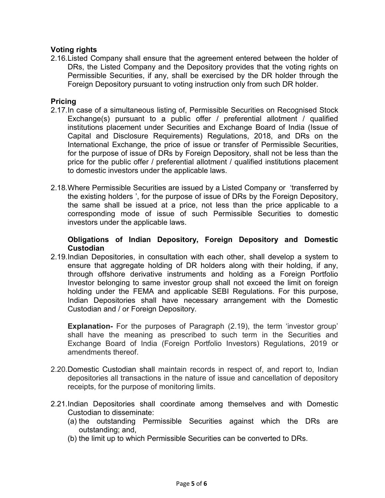## **Voting rights**

2.16.Listed Company shall ensure that the agreement entered between the holder of DRs, the Listed Company and the Depository provides that the voting rights on Permissible Securities, if any, shall be exercised by the DR holder through the Foreign Depository pursuant to voting instruction only from such DR holder.

## **Pricing**

- 2.17.In case of a simultaneous listing of, Permissible Securities on Recognised Stock Exchange(s) pursuant to a public offer / preferential allotment / qualified institutions placement under Securities and Exchange Board of India (Issue of Capital and Disclosure Requirements) Regulations, 2018, and DRs on the International Exchange, the price of issue or transfer of Permissible Securities, for the purpose of issue of DRs by Foreign Depository, shall not be less than the price for the public offer / preferential allotment / qualified institutions placement to domestic investors under the applicable laws.
- 2.18.Where Permissible Securities are issued by a Listed Company or 'transferred by the existing holders ', for the purpose of issue of DRs by the Foreign Depository, the same shall be issued at a price, not less than the price applicable to a corresponding mode of issue of such Permissible Securities to domestic investors under the applicable laws.

#### **Obligations of Indian Depository, Foreign Depository and Domestic Custodian**

2.19.Indian Depositories, in consultation with each other, shall develop a system to ensure that aggregate holding of DR holders along with their holding, if any, through offshore derivative instruments and holding as a Foreign Portfolio Investor belonging to same investor group shall not exceed the limit on foreign holding under the FEMA and applicable SEBI Regulations. For this purpose, Indian Depositories shall have necessary arrangement with the Domestic Custodian and / or Foreign Depository.

**Explanation-** For the purposes of Paragraph (2.19), the term 'investor group' shall have the meaning as prescribed to such term in the Securities and Exchange Board of India (Foreign Portfolio Investors) Regulations, 2019 or amendments thereof.

- 2.20.Domestic Custodian shall maintain records in respect of, and report to, Indian depositories all transactions in the nature of issue and cancellation of depository receipts, for the purpose of monitoring limits.
- 2.21.Indian Depositories shall coordinate among themselves and with Domestic Custodian to disseminate:
	- (a) the outstanding Permissible Securities against which the DRs are outstanding; and,
	- (b) the limit up to which Permissible Securities can be converted to DRs.